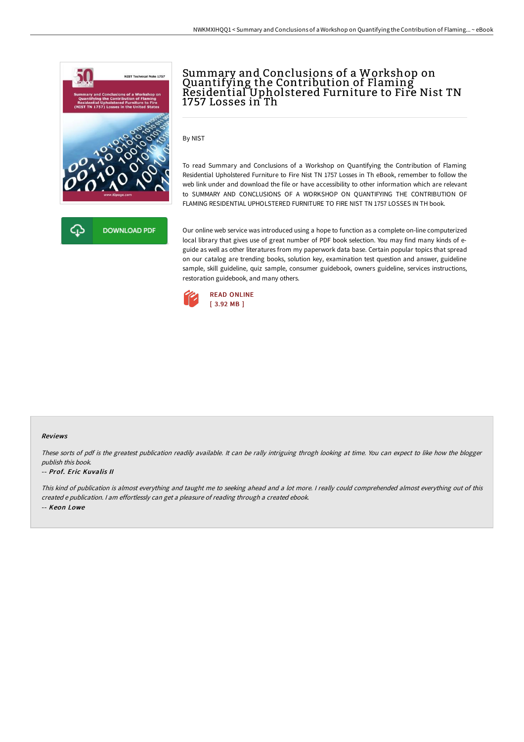



By NIST

To read Summary and Conclusions of a Workshop on Quantifying the Contribution of Flaming Residential Upholstered Furniture to Fire Nist TN 1757 Losses in Th eBook, remember to follow the web link under and download the file or have accessibility to other information which are relevant to SUMMARY AND CONCLUSIONS OF A WORKSHOP ON QUANTIFYING THE CONTRIBUTION OF FLAMING RESIDENTIAL UPHOLSTERED FURNITURE TO FIRE NIST TN 1757 LOSSES IN TH book.

Our online web service was introduced using a hope to function as a complete on-line computerized local library that gives use of great number of PDF book selection. You may find many kinds of eguide as well as other literatures from my paperwork data base. Certain popular topics that spread on our catalog are trending books, solution key, examination test question and answer, guideline sample, skill guideline, quiz sample, consumer guidebook, owners guideline, services instructions, restoration guidebook, and many others.



## Reviews

These sorts of pdf is the greatest publication readily available. It can be rally intriguing throgh looking at time. You can expect to like how the blogger publish this book.

## -- Prof. Eric Kuvalis II

This kind of publication is almost everything and taught me to seeking ahead and <sup>a</sup> lot more. <sup>I</sup> really could comprehended almost everything out of this created <sup>e</sup> publication. <sup>I</sup> am effortlessly can get <sup>a</sup> pleasure of reading through <sup>a</sup> created ebook. -- Keon Lowe